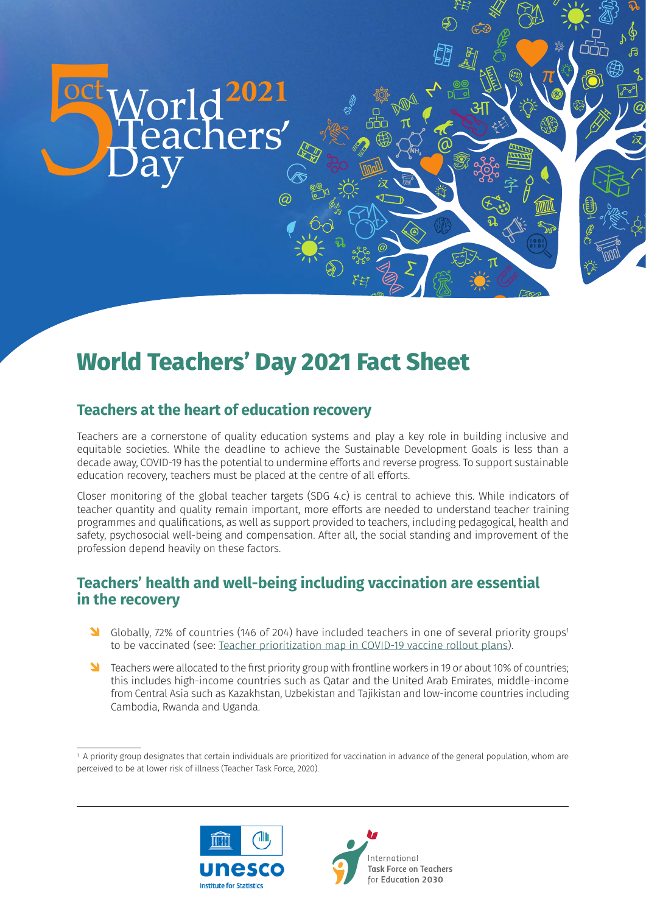

# **World Teachers' Day 2021 Fact Sheet**

# **Teachers at the heart of education recovery**

Teachers are a cornerstone of quality education systems and play a key role in building inclusive and equitable societies. While the deadline to achieve the Sustainable Development Goals is less than a decade away, COVID-19 has the potential to undermine efforts and reverse progress. To support sustainable education recovery, teachers must be placed at the centre of all efforts.

safety, psychosocial well-being and compensation. After all, the social standing and improvement of the Closer monitoring of the global teacher targets (SDG 4.c) is central to achieve this. While indicators of teacher quantity and quality remain important, more efforts are needed to understand teacher training programmes and qualifications, as well as support provided to teachers, including pedagogical, health and profession depend heavily on these factors.

# **Teachers' health and well-being including vaccination are essential in the recovery**

- <sup>1</sup> Globally, 72% of countries (146 of 204) have included teachers in one of several priority groups<sup>1</sup> to be vaccinated (see: [Teacher prioritization map in COVID-19 vaccine rollout plans](https://en.unesco.org/covid19/educationresponse/teacher-vaccination)).
- **D** Teachers were allocated to the first priority group with frontline workers in 19 or about 10% of countries; this includes high-income countries such as Qatar and the United Arab Emirates, middle-income from Central Asia such as Kazakhstan, Uzbekistan and Tajikistan and low-income countries including Cambodia, Rwanda and Uganda.

<sup>1</sup> A priority group designates that certain individuals are prioritized for vaccination in advance of the general population, whom are perceived to be at lower risk of illness (Teacher Task Force, 2020).



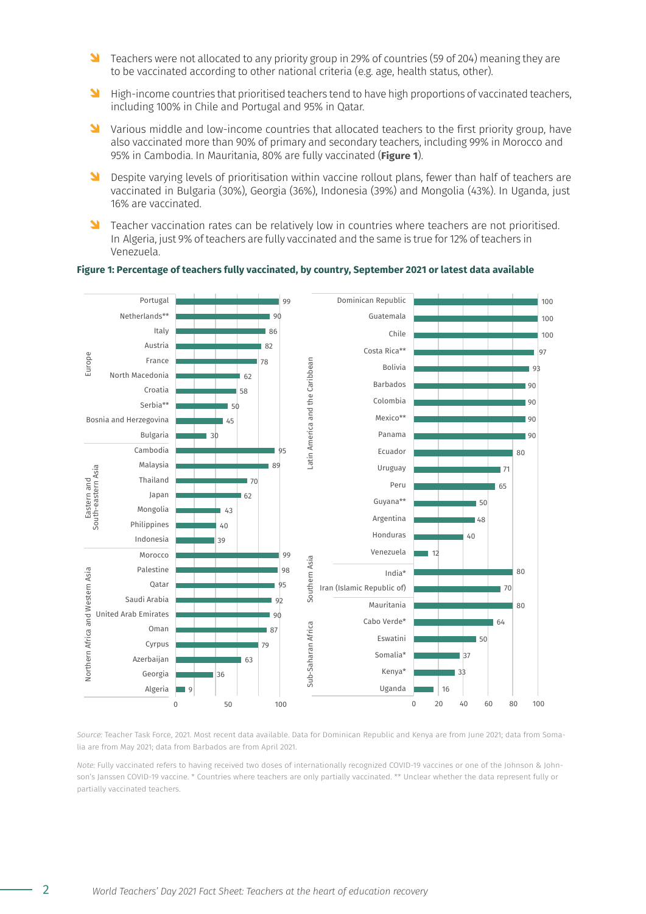- **D** Teachers were not allocated to any priority group in 29% of countries (59 of 204) meaning they are to be vaccinated according to other national criteria (e.g. age, health status, other).
- **IF** High-income countries that prioritised teachers tend to have high proportions of vaccinated teachers, including 100% in Chile and Portugal and 95% in Qatar.
- **O** Various middle and low-income countries that allocated teachers to the first priority group, have also vaccinated more than 90% of primary and secondary teachers, including 99% in Morocco and 95% in Cambodia. In Mauritania, 80% are fully vaccinated (**Figure 1**).
- **O** Despite varying levels of prioritisation within vaccine rollout plans, fewer than half of teachers are vaccinated in Bulgaria (30%), Georgia (36%), Indonesia (39%) and Mongolia (43%). In Uganda, just 16% are vaccinated.
- S Teacher vaccination rates can be relatively low in countries where teachers are not prioritised. In Algeria, just 9% of teachers are fully vaccinated and the same is true for 12% of teachers in Venezuela.

#### **Figure 1: Percentage of teachers fully vaccinated, by country, September 2021 or latest data available**



*Source:* Teacher Task Force, 2021. Most recent data available. Data for Dominican Republic and Kenya are from June 2021; data from Somalia are from May 2021; data from Barbados are from April 2021.

*Note:* Fully vaccinated refers to having received two doses of internationally recognized COVID-19 vaccines or one of the Johnson & Johnson's Janssen COVID-19 vaccine. \* Countries where teachers are only partially vaccinated. \*\* Unclear whether the data represent fully or partially vaccinated teachers.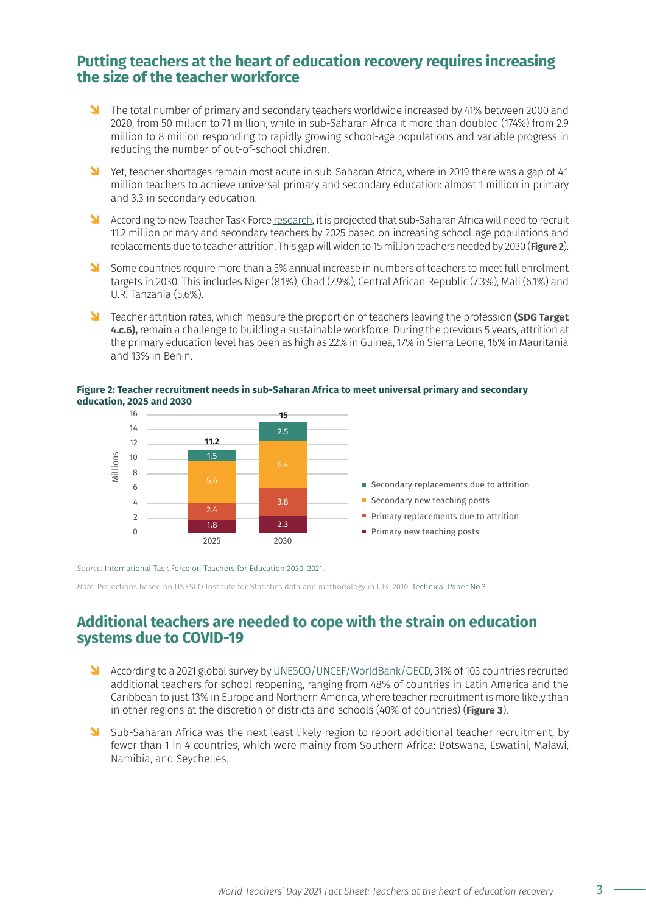### **Putting teachers at the heart of education recovery requires increasing the size of the teacher workforce**

- Ô The total number of primary and secondary teachers worldwide increased by 41% between 2000 and 2020, from 50 million to 71 million; while in sub-Saharan Africa it more than doubled (174%) from 2.9 million to 8 million responding to rapidly growing school-age populations and variable progress in reducing the number of out-of-school children.
- N Yet, teacher shortages remain most acute in sub-Saharan Africa, where in 2019 there was a gap of 4.1 million teachers to achieve universal primary and secondary education: almost 1 million in primary and 3.3 in secondary education.
- <sup>1</sup> According to new Teacher Task Force [research,](https://teachertaskforce.org/knowledge-hub/closing-gap-ensuring-there-are-enough-qualified-and-supported-teachers-sub-saharan) it is projected that sub-Saharan Africa will need to recruit 11.2 million primary and secondary teachers by 2025 based on increasing school-age populations and replacements due to teacher attrition. This gap will widen to 15 million teachers needed by 2030 (**Figure 2**).
- Some countries require more than a 5% annual increase in numbers of teachers to meet full enrolment targets in 2030. This includes Niger (8.1%), Chad (7.9%), Central African Republic (7.3%), Mali (6.1%) and U.R. Tanzania (5.6%).
- Ô Teacher attrition rates, which measure the proportion of teachers leaving the profession **(SDG Target 4.c.6),** remain a challenge to building a sustainable workforce. During the previous 5 years, attrition at the primary education level has been as high as 22% in Guinea, 17% in Sierra Leone, 16% in Mauritania and 13% in Benin.

### **Figure 2: Teacher recruitment needs in sub-Saharan Africa to meet universal primary and secondary education, 2025 and 2030**



*Source:* [International Task Force on Teachers for Education 2030, 2021](https://teachertaskforce.org/knowledge-hub/closing-gap-ensuring-there-are-enough-qualified-and-supported-teachers-sub-saharan).

*Note:* Projections based on UNESCO Institute for Statistics data and methodology in UIS. 2010. [Technical Paper No.3.](http://uis.unesco.org/sites/default/files/documents/projecting-the-global-demand-for-teachers-meeting-the-goal-of-universal-primary-by-2015-en_0.pdf)

### **Additional teachers are needed to cope with the strain on education systems due to COVID-19**

- According to a 2021 global survey by [UNESCO/UNCEF/WorldBank/OECD,](http://covid19.uis.unesco.org/joint-covid-r3/) 31% of 103 countries recruited additional teachers for school reopening, ranging from 48% of countries in Latin America and the Caribbean to just 13% in Europe and Northern America, where teacher recruitment is more likely than in other regions at the discretion of districts and schools (40% of countries) (**Figure 3**).
- Sub-Saharan Africa was the next least likely region to report additional teacher recruitment, by fewer than 1 in 4 countries, which were mainly from Southern Africa: Botswana, Eswatini, Malawi, Namibia, and Seychelles.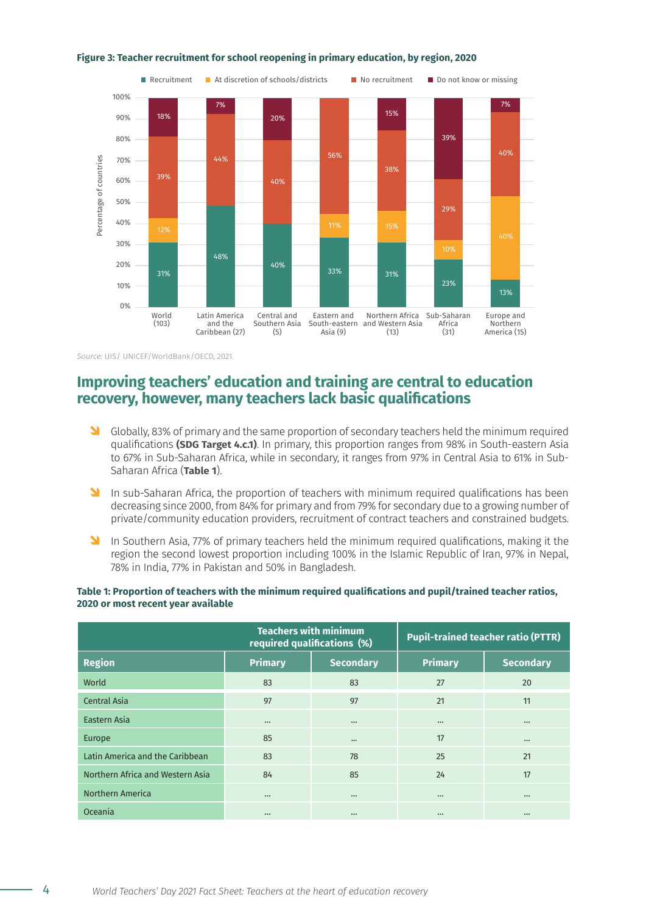

#### **Figure 3: Teacher recruitment for school reopening in primary education, by region, 2020**

*Source:* UIS/ UNICEF/WorldBank/OECD, 2021.

# **Improving teachers' education and training are central to education recovery, however, many teachers lack basic qualifications**

- **O** Globally, 83% of primary and the same proportion of secondary teachers held the minimum required qualifications **(SDG Target 4.c.1)**. In primary, this proportion ranges from 98% in South-eastern Asia to 67% in Sub-Saharan Africa, while in secondary, it ranges from 97% in Central Asia to 61% in Sub-Saharan Africa (**Table 1**).
- <sup>1</sup> In sub-Saharan Africa, the proportion of teachers with minimum required qualifications has been decreasing since 2000, from 84% for primary and from 79% for secondary due to a growing number of private/community education providers, recruitment of contract teachers and constrained budgets.
- **OF** In Southern Asia, 77% of primary teachers held the minimum required qualifications, making it the region the second lowest proportion including 100% in the Islamic Republic of Iran, 97% in Nepal, 78% in India, 77% in Pakistan and 50% in Bangladesh.

|                                  |                | <b>Teachers with minimum</b><br>required qualifications (%) | <b>Pupil-trained teacher ratio (PTTR)</b> |                  |
|----------------------------------|----------------|-------------------------------------------------------------|-------------------------------------------|------------------|
| <b>Region</b>                    | <b>Primary</b> | <b>Secondary</b>                                            | <b>Primary</b>                            | <b>Secondary</b> |
| World                            | 83             | 83                                                          | 27                                        | 20               |
| Central Asia                     | 97             | 97                                                          | 21                                        | 11               |
| Eastern Asia                     | $\cdots$       | $\cdots$                                                    | $\cdots$                                  | $\cdots$         |
| Europe                           | 85             | $\cdots$                                                    | 17                                        | $\cdots$         |
| Latin America and the Caribbean  | 83             | 78                                                          | 25                                        | 21               |
| Northern Africa and Western Asia | 84             | 85                                                          | 24                                        | 17               |
| Northern America                 | $\cdots$       | $\cdots$                                                    | $\cdots$                                  | $\cdots$         |
| Oceania                          | $\cdots$       | $\cdots$                                                    | $\cdots$                                  | $\cdots$         |

### **Table 1: Proportion of teachers with the minimum required qualifications and pupil/trained teacher ratios, 2020 or most recent year available**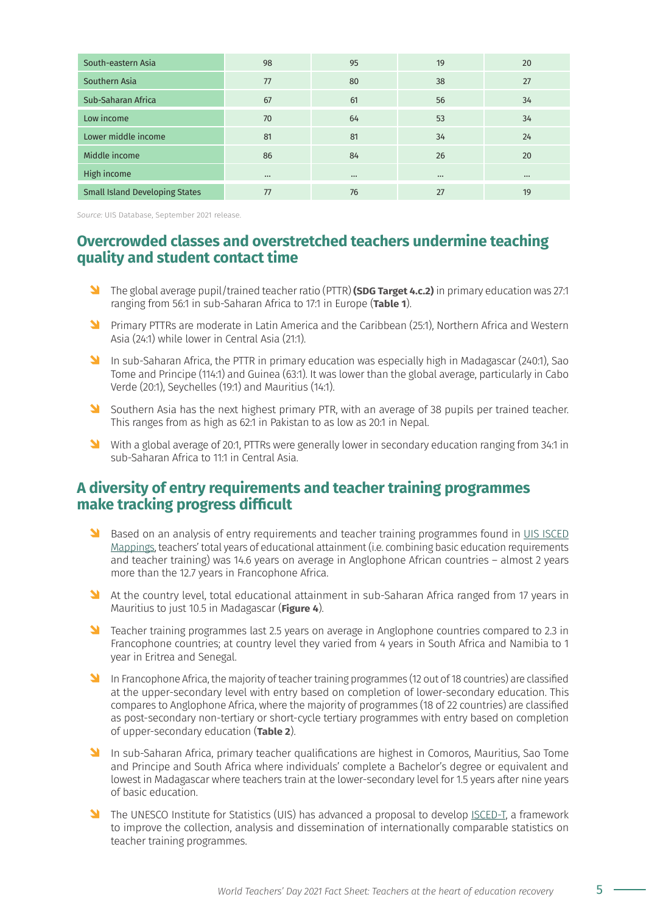| South-eastern Asia                    | 98       | 95       | 19       | 20       |
|---------------------------------------|----------|----------|----------|----------|
| Southern Asia                         | 77       | 80       | 38       | 27       |
| Sub-Saharan Africa                    | 67       | 61       | 56       | 34       |
| Low income                            | 70       | 64       | 53       | 34       |
| Lower middle income                   | 81       | 81       | 34       | 24       |
| Middle income                         | 86       | 84       | 26       | 20       |
| High income                           | $\cdots$ | $\cdots$ | $\cdots$ | $\cdots$ |
| <b>Small Island Developing States</b> | 77       | 76       | 27       | 19       |

*Source:* UIS Database, September 2021 release.

# **Overcrowded classes and overstretched teachers undermine teaching quality and student contact time**

- Ô The global average pupil/trained teacher ratio (PTTR) **(SDG Target 4.c.2)** in primary education was 27:1 ranging from 56:1 in sub-Saharan Africa to 17:1 in Europe (**Table 1**).
- **O Primary PTTRs are moderate in Latin America and the Caribbean (25:1), Northern Africa and Western** Asia (24:1) while lower in Central Asia (21:1).
- **In sub-Saharan Africa, the PTTR in primary education was especially high in Madagascar (240:1), Sao** Tome and Principe (114:1) and Guinea (63:1). It was lower than the global average, particularly in Cabo Verde (20:1), Seychelles (19:1) and Mauritius (14:1).
- Southern Asia has the next highest primary PTR, with an average of 38 pupils per trained teacher. This ranges from as high as 62:1 in Pakistan to as low as 20:1 in Nepal.
- N With a global average of 20:1, PTTRs were generally lower in secondary education ranging from 34:1 in sub-Saharan Africa to 11:1 in Central Asia.

# **A diversity of entry requirements and teacher training programmes make tracking progress difficult**

- S Based on an analysis of entry requirements and teacher training programmes found in [UIS ISCED](http://isced.uis.unesco.org/data-mapping/) [Mappings](http://isced.uis.unesco.org/data-mapping/), teachers' total years of educational attainment (i.e. combining basic education requirements and teacher training) was 14.6 years on average in Anglophone African countries – almost 2 years more than the 12.7 years in Francophone Africa.
- <sup>1</sup> At the country level, total educational attainment in sub-Saharan Africa ranged from 17 years in Mauritius to just 10.5 in Madagascar (**Figure 4**).
- **D** Teacher training programmes last 2.5 years on average in Anglophone countries compared to 2.3 in Francophone countries; at country level they varied from 4 years in South Africa and Namibia to 1 year in Eritrea and Senegal.
- **OF** In Francophone Africa, the majority of teacher training programmes (12 out of 18 countries) are classified at the upper-secondary level with entry based on completion of lower-secondary education. This compares to Anglophone Africa, where the majority of programmes (18 of 22 countries) are classified as post-secondary non-tertiary or short-cycle tertiary programmes with entry based on completion of upper-secondary education (**Table 2**).
- **N** In sub-Saharan Africa, primary teacher qualifications are highest in Comoros, Mauritius, Sao Tome and Principe and South Africa where individuals' complete a Bachelor's degree or equivalent and lowest in Madagascar where teachers train at the lower-secondary level for 1.5 years after nine years of basic education.
- **D** The UNESCO Institute for Statistics (UIS) has advanced a proposal to develop [ISCED-T](http://isced.uis.unesco.org/consultation-meetings/), a framework to improve the collection, analysis and dissemination of internationally comparable statistics on teacher training programmes.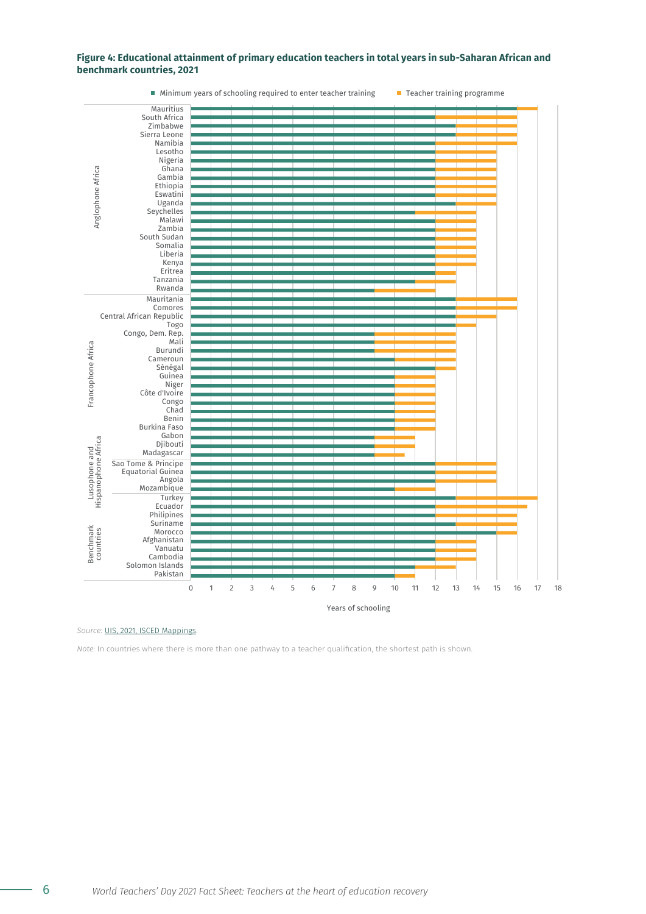### **Figure 4: Educational attainment of primary education teachers in total years in sub-Saharan African and benchmark countries, 2021**



*Source:* UIS, 2021, [ISCED Mappings.](http://isced.uis.unesco.org/data-mapping/)

*Note:* In countries where there is more than one pathway to a teacher qualification, the shortest path is shown.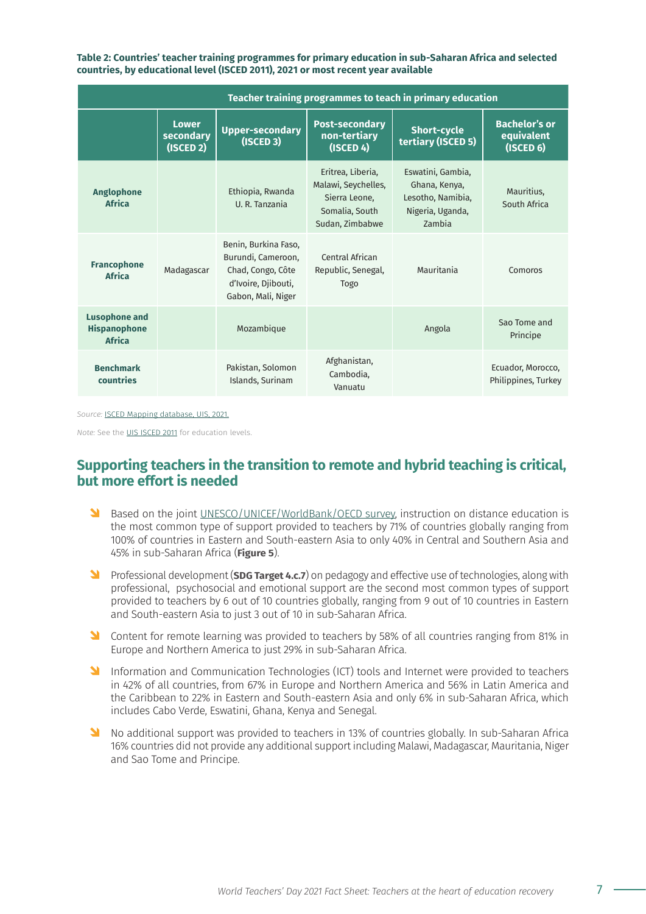**Table 2: Countries' teacher training programmes for primary education in sub-Saharan Africa and selected countries, by educational level (ISCED 2011), 2021 or most recent year available**

| Teacher training programmes to teach in primary education    |                                              |                                                                                                              |                                                                                                |                                                                                       |                                                       |  |  |
|--------------------------------------------------------------|----------------------------------------------|--------------------------------------------------------------------------------------------------------------|------------------------------------------------------------------------------------------------|---------------------------------------------------------------------------------------|-------------------------------------------------------|--|--|
|                                                              | <b>Lower</b><br>secondary<br>$($ ISCED 2 $)$ | <b>Upper-secondary</b><br>$($ ISCED 3 $)$                                                                    | <b>Post-secondary</b><br>non-tertiary<br>$($ ISCED 4 $)$                                       | <b>Short-cycle</b><br>tertiary (ISCED 5)                                              | <b>Bachelor's or</b><br>equivalent<br>$($ ISCED 6 $)$ |  |  |
| <b>Anglophone</b><br><b>Africa</b>                           |                                              | Ethiopia, Rwanda<br>U. R. Tanzania                                                                           | Eritrea, Liberia,<br>Malawi, Seychelles,<br>Sierra Leone,<br>Somalia, South<br>Sudan, Zimbabwe | Eswatini, Gambia,<br>Ghana, Kenya,<br>Lesotho, Namibia,<br>Nigeria, Uganda,<br>Zambia | Mauritius,<br>South Africa                            |  |  |
| <b>Francophone</b><br><b>Africa</b>                          | Madagascar                                   | Benin, Burkina Faso,<br>Burundi, Cameroon,<br>Chad, Congo, Côte<br>d'Ivoire, Djibouti,<br>Gabon, Mali, Niger | Central African<br>Republic, Senegal,<br>Togo                                                  | Mauritania                                                                            | Comoros                                               |  |  |
| <b>Lusophone and</b><br><b>Hispanophone</b><br><b>Africa</b> |                                              | Mozambique                                                                                                   |                                                                                                | Angola                                                                                | Sao Tome and<br>Principe                              |  |  |
| <b>Benchmark</b><br>countries                                |                                              | Pakistan, Solomon<br>Islands, Surinam                                                                        | Afghanistan,<br>Cambodia,<br>Vanuatu                                                           |                                                                                       | Ecuador, Morocco,<br>Philippines, Turkey              |  |  |

*Source:* [ISCED Mapping database, UIS, 2021](http://isced.uis.unesco.org/data-mapping/).

*Note:* See the UIS [ISCED 2011](http://uis.unesco.org/sites/default/files/documents/international-standard-classification-of-education-isced-2011-en.pdf) for education levels.

### **Supporting teachers in the transition to remote and hybrid teaching is critical, but more effort is needed**

- **D** Based on the joint [UNESCO/UNICEF/WorldBank/OECD survey](http://covid19.uis.unesco.org/joint-covid-r3/), instruction on distance education is the most common type of support provided to teachers by 71% of countries globally ranging from 100% of countries in Eastern and South-eastern Asia to only 40% in Central and Southern Asia and 45% in sub-Saharan Africa (**Figure 5**).
- **O Professional development (SDG Target 4.c.7)** on pedagogy and effective use of technologies, along with professional, psychosocial and emotional support are the second most common types of support provided to teachers by 6 out of 10 countries globally, ranging from 9 out of 10 countries in Eastern and South-eastern Asia to just 3 out of 10 in sub-Saharan Africa.
- <sup>1</sup> Content for remote learning was provided to teachers by 58% of all countries ranging from 81% in Europe and Northern America to just 29% in sub-Saharan Africa.
- **Information and Communication Technologies (ICT) tools and Internet were provided to teachers** in 42% of all countries, from 67% in Europe and Northern America and 56% in Latin America and the Caribbean to 22% in Eastern and South-eastern Asia and only 6% in sub-Saharan Africa, which includes Cabo Verde, Eswatini, Ghana, Kenya and Senegal.
- Ô No additional support was provided to teachers in 13% of countries globally. In sub-Saharan Africa 16% countries did not provide any additional support including Malawi, Madagascar, Mauritania, Niger and Sao Tome and Principe.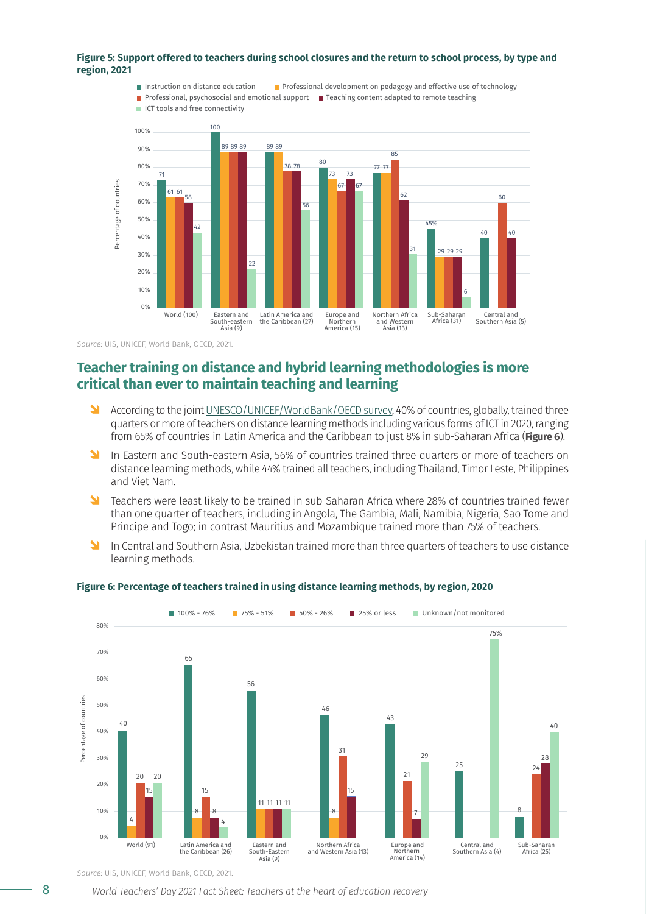#### **Figure 5: Support offered to teachers during school closures and the return to school process, by type and region, 2021**



*Source:* UIS, UNICEF, World Bank, OECD, 2021.

### **Teacher training on distance and hybrid learning methodologies is more critical than ever to maintain teaching and learning**

- **O According to the joint [UNESCO/UNICEF/WorldBank/OECD survey](http://covid19.uis.unesco.org/joint-covid-r3/), 40% of countries, globally, trained three** quarters or more of teachers on distance learning methods including various forms of ICT in 2020, ranging from 65% of countries in Latin America and the Caribbean to just 8% in sub-Saharan Africa (**Figure 6**).
- **In Eastern and South-eastern Asia, 56% of countries trained three quarters or more of teachers on** distance learning methods, while 44% trained all teachers, including Thailand, Timor Leste, Philippines and Viet Nam.
- S Teachers were least likely to be trained in sub-Saharan Africa where 28% of countries trained fewer than one quarter of teachers, including in Angola, The Gambia, Mali, Namibia, Nigeria, Sao Tome and Principe and Togo; in contrast Mauritius and Mozambique trained more than 75% of teachers.
- **In Central and Southern Asia, Uzbekistan trained more than three quarters of teachers to use distance** learning methods.



#### **Figure 6: Percentage of teachers trained in using distance learning methods, by region, 2020**

*Source:* UIS, UNICEF, World Bank, OECD, 2021.

8 *World Teachers' Day 2021 Fact Sheet: Teachers at the heart of education recovery*